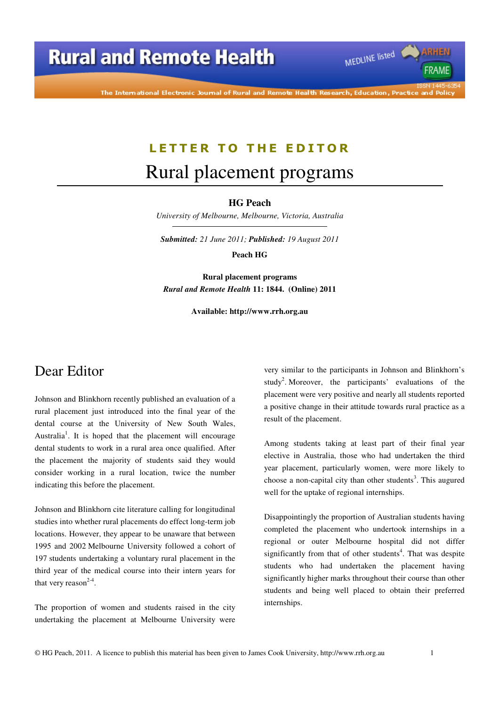# **Rural and Remote Health**

The International Electronic Journal of Rural and Remote Health Research, Education, Practice and Policy

### LETTER TO THE EDITOR

## Rural placement programs

#### **HG Peach**

*University of Melbourne, Melbourne, Victoria, Australia* 

*Submitted: 21 June 2011; Published: 19 August 2011* 

**Peach HG** 

**Rural placement programs**  *Rural and Remote Health* **11: 1844. (Online) 2011** 

**Available: http://www.rrh.org.au** 

## Dear Editor

Johnson and Blinkhorn recently published an evaluation of a rural placement just introduced into the final year of the dental course at the University of New South Wales, Australia<sup>1</sup>. It is hoped that the placement will encourage dental students to work in a rural area once qualified. After the placement the majority of students said they would consider working in a rural location, twice the number indicating this before the placement.

Johnson and Blinkhorn cite literature calling for longitudinal studies into whether rural placements do effect long-term job locations. However, they appear to be unaware that between 1995 and 2002 Melbourne University followed a cohort of 197 students undertaking a voluntary rural placement in the third year of the medical course into their intern years for that very reason<sup>2-4</sup>.

The proportion of women and students raised in the city undertaking the placement at Melbourne University were

very similar to the participants in Johnson and Blinkhorn's study<sup>2</sup>. Moreover, the participants' evaluations of the placement were very positive and nearly all students reported a positive change in their attitude towards rural practice as a result of the placement.

MEDLINE listed

FRAME

Among students taking at least part of their final year elective in Australia, those who had undertaken the third year placement, particularly women, were more likely to choose a non-capital city than other students<sup>3</sup>. This augured well for the uptake of regional internships.

Disappointingly the proportion of Australian students having completed the placement who undertook internships in a regional or outer Melbourne hospital did not differ significantly from that of other students<sup>4</sup>. That was despite students who had undertaken the placement having significantly higher marks throughout their course than other students and being well placed to obtain their preferred internships.